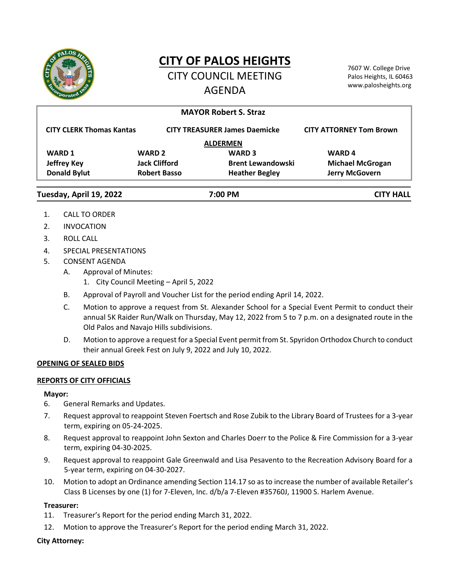

# **CITY OF PALOS HEIGHTS**

CITY COUNCIL MEETING AGENDA

7607 W. College Drive Palos Heights, IL 60463 www.palosheights.org

|                                 |                      | <b>MAYOR Robert S. Straz</b>         |                                |
|---------------------------------|----------------------|--------------------------------------|--------------------------------|
| <b>CITY CLERK Thomas Kantas</b> |                      | <b>CITY TREASURER James Daemicke</b> | <b>CITY ATTORNEY Tom Brown</b> |
| <b>ALDERMEN</b>                 |                      |                                      |                                |
| <b>WARD 1</b>                   | <b>WARD 2</b>        | <b>WARD 3</b>                        | <b>WARD4</b>                   |
| <b>Jeffrey Key</b>              | <b>Jack Clifford</b> | <b>Brent Lewandowski</b>             | <b>Michael McGrogan</b>        |
| <b>Donald Bylut</b>             | <b>Robert Basso</b>  | <b>Heather Begley</b>                | <b>Jerry McGovern</b>          |
| Tuesday, April 19, 2022         | 7:00 PM              |                                      | CITY HALL                      |

- 1. CALL TO ORDER
- 2. INVOCATION
- 3. ROLL CALL
- 4. SPECIAL PRESENTATIONS
- 5. CONSENT AGENDA
	- A. Approval of Minutes:
		- 1. City Council Meeting April 5, 2022
	- B. Approval of Payroll and Voucher List for the period ending April 14, 2022.
	- C. Motion to approve a request from St. Alexander School for a Special Event Permit to conduct their annual 5K Raider Run/Walk on Thursday, May 12, 2022 from 5 to 7 p.m. on a designated route in the Old Palos and Navajo Hills subdivisions.
	- D. Motion to approve a request for a Special Event permit from St. Spyridon Orthodox Church to conduct their annual Greek Fest on July 9, 2022 and July 10, 2022.

# **OPENING OF SEALED BIDS**

# **REPORTS OF CITY OFFICIALS**

## **Mayor:**

- 6. General Remarks and Updates.
- 7. Request approval to reappoint Steven Foertsch and Rose Zubik to the Library Board of Trustees for a 3-year term, expiring on 05-24-2025.
- 8. Request approval to reappoint John Sexton and Charles Doerr to the Police & Fire Commission for a 3-year term, expiring 04-30-2025.
- 9. Request approval to reappoint Gale Greenwald and Lisa Pesavento to the Recreation Advisory Board for a 5-year term, expiring on 04-30-2027.
- 10. Motion to adopt an Ordinance amending Section 114.17 so as to increase the number of available Retailer's Class B Licenses by one (1) for 7-Eleven, Inc. d/b/a 7-Eleven #35760J, 11900 S. Harlem Avenue.

# **Treasurer:**

- 11. Treasurer's Report for the period ending March 31, 2022.
- 12. Motion to approve the Treasurer's Report for the period ending March 31, 2022.

# **City Attorney:**